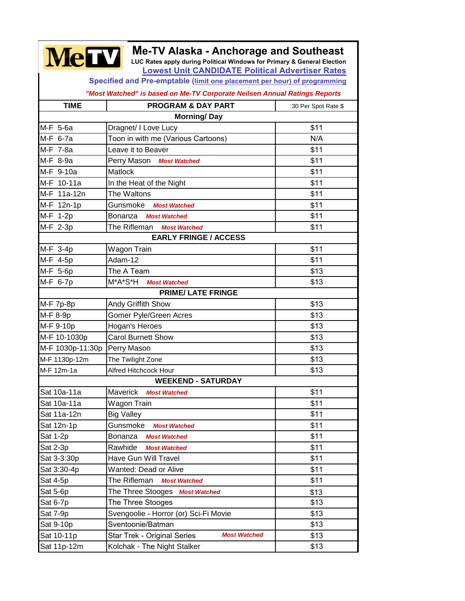| <b>Me-TV Alaska - Anchorage and Southeast</b><br><b>MeTV</b><br>LUC Rates apply during Political Windows for Primary & General Election<br><b>Lowest Unit CANDIDATE Political Advertiser Rates</b> |                                                    |                      |  |
|----------------------------------------------------------------------------------------------------------------------------------------------------------------------------------------------------|----------------------------------------------------|----------------------|--|
| Specified and Pre-emptable (limit one placement per hour) of programming                                                                                                                           |                                                    |                      |  |
| "Most Watched" is based on Me-TV Corporate Neilsen Annual Ratings Reports                                                                                                                          |                                                    |                      |  |
| <b>TIME</b>                                                                                                                                                                                        | <b>PROGRAM &amp; DAY PART</b>                      | :30 Per Spot Rate \$ |  |
|                                                                                                                                                                                                    | <b>Morning/Day</b>                                 |                      |  |
| M-F 5-6a                                                                                                                                                                                           | Dragnet/ I Love Lucy                               | \$11                 |  |
| M-F 6-7a                                                                                                                                                                                           | Toon in with me (Various Cartoons)                 | N/A                  |  |
| M-F 7-8a                                                                                                                                                                                           | Leave it to Beaver                                 | \$11                 |  |
| M-F 8-9a                                                                                                                                                                                           | Perry Mason Most Watched                           | \$11                 |  |
| M-F 9-10a                                                                                                                                                                                          | Matlock                                            | \$11                 |  |
| M-F 10-11a                                                                                                                                                                                         | In the Heat of the Night                           | \$11                 |  |
| M-F 11a-12n                                                                                                                                                                                        | The Waltons                                        | \$11                 |  |
| M-F 12n-1p                                                                                                                                                                                         | Gunsmoke<br><b>Most Watched</b>                    | \$11                 |  |
| M-F 1-2p                                                                                                                                                                                           | Bonanza<br><b>Most Watched</b>                     | \$11                 |  |
| M-F 2-3p                                                                                                                                                                                           | The Rifleman Most Watched                          | \$11                 |  |
| <b>EARLY FRINGE / ACCESS</b>                                                                                                                                                                       |                                                    |                      |  |
| M-F 3-4p                                                                                                                                                                                           | Wagon Train                                        | \$11                 |  |
| M-F 4-5p                                                                                                                                                                                           | Adam-12                                            | \$11                 |  |
| M-F 5-6p                                                                                                                                                                                           | The A Team                                         | \$13                 |  |
| M-F 6-7p                                                                                                                                                                                           | M*A*S*H<br><b>Most Watched</b>                     | \$13                 |  |
| <b>PRIME/ LATE FRINGE</b>                                                                                                                                                                          |                                                    |                      |  |
| M-F 7p-8p                                                                                                                                                                                          | Andy Griffith Show                                 | \$13                 |  |
| M-F 8-9p                                                                                                                                                                                           | Gomer Pyle/Green Acres                             | \$13                 |  |
| M-F 9-10p                                                                                                                                                                                          | Hogan's Heroes                                     | \$13                 |  |
| M-F 10-1030p                                                                                                                                                                                       | <b>Carol Burnett Show</b>                          | \$13                 |  |
| M-F 1030p-11:30p                                                                                                                                                                                   | Perry Mason                                        | \$13                 |  |
| M-F 1130p-12m                                                                                                                                                                                      | The Twilight Zone                                  | \$13                 |  |
| M-F 12m-1a                                                                                                                                                                                         | Alfred Hitchcock Hour                              | \$13                 |  |
| <b>WEEKEND - SATURDAY</b>                                                                                                                                                                          |                                                    |                      |  |
| Sat 10a-11a                                                                                                                                                                                        | <b>Maverick</b><br><b>Most Watched</b>             | \$11                 |  |
| Sat 10a-11a                                                                                                                                                                                        | Wagon Train                                        | \$11                 |  |
| Sat 11a-12n                                                                                                                                                                                        | <b>Big Valley</b>                                  | \$11                 |  |
| Sat 12n-1p                                                                                                                                                                                         | Gunsmoke<br><b>Most Watched</b>                    | \$11                 |  |
| Sat 1-2p                                                                                                                                                                                           | Bonanza<br><b>Most Watched</b>                     | \$11                 |  |
| Sat 2-3p                                                                                                                                                                                           | Rawhide<br><b>Most Watched</b>                     | \$11                 |  |
| Sat 3-3:30p                                                                                                                                                                                        | Have Gun Will Travel                               | \$11                 |  |
| Sat 3:30-4p                                                                                                                                                                                        | <b>Wanted: Dead or Alive</b>                       | \$11                 |  |
| Sat 4-5p                                                                                                                                                                                           | The Rifleman<br><b>Most Watched</b>                | \$11                 |  |
| Sat 5-6p                                                                                                                                                                                           | The Three Stooges Most Watched                     | \$13                 |  |
| Sat 6-7p                                                                                                                                                                                           | The Three Stooges                                  | \$13                 |  |
| Sat 7-9p                                                                                                                                                                                           | Svengoolie - Horror (or) Sci-Fi Movie              | \$13                 |  |
| Sat 9-10p                                                                                                                                                                                          | Sventoonie/Batman                                  | \$13                 |  |
| Sat 10-11p                                                                                                                                                                                         | <b>Most Watched</b><br>Star Trek - Original Series | \$13                 |  |
| Sat 11p-12m                                                                                                                                                                                        | Kolchak - The Night Stalker                        | \$13                 |  |
|                                                                                                                                                                                                    |                                                    |                      |  |